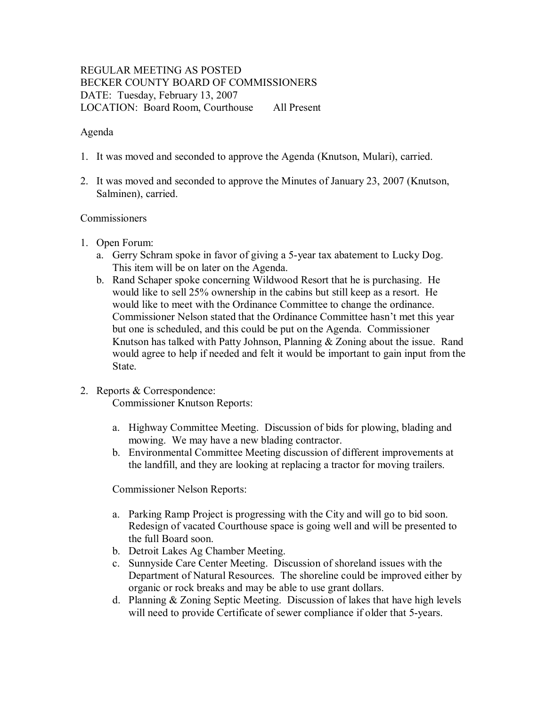# REGULAR MEETING AS POSTED BECKER COUNTY BOARD OF COMMISSIONERS DATE: Tuesday, February 13, 2007 LOCATION: Board Room, Courthouse All Present

### Agenda

- 1. It was moved and seconded to approve the Agenda (Knutson, Mulari), carried.
- 2. It was moved and seconded to approve the Minutes of January 23, 2007 (Knutson, Salminen), carried.

#### **Commissioners**

- 1. Open Forum:
	- a. Gerry Schram spoke in favor of giving a 5-year tax abatement to Lucky Dog. This item will be on later on the Agenda.
	- b. Rand Schaper spoke concerning Wildwood Resort that he is purchasing. He would like to sell 25% ownership in the cabins but still keep as a resort. He would like to meet with the Ordinance Committee to change the ordinance. Commissioner Nelson stated that the Ordinance Committee hasn't met this year but one is scheduled, and this could be put on the Agenda. Commissioner Knutson has talked with Patty Johnson, Planning & Zoning about the issue. Rand would agree to help if needed and felt it would be important to gain input from the State.
- 2. Reports & Correspondence:

Commissioner Knutson Reports:

- a. Highway Committee Meeting. Discussion of bids for plowing, blading and mowing. We may have a new blading contractor.
- b. Environmental Committee Meeting discussion of different improvements at the landfill, and they are looking at replacing a tractor for moving trailers.

Commissioner Nelson Reports:

- a. Parking Ramp Project is progressing with the City and will go to bid soon. Redesign of vacated Courthouse space is going well and will be presented to the full Board soon.
- b. Detroit Lakes Ag Chamber Meeting.
- c. Sunnyside Care Center Meeting. Discussion of shoreland issues with the Department of Natural Resources. The shoreline could be improved either by organic or rock breaks and may be able to use grant dollars.
- d. Planning  $&$  Zoning Septic Meeting. Discussion of lakes that have high levels will need to provide Certificate of sewer compliance if older that 5-years.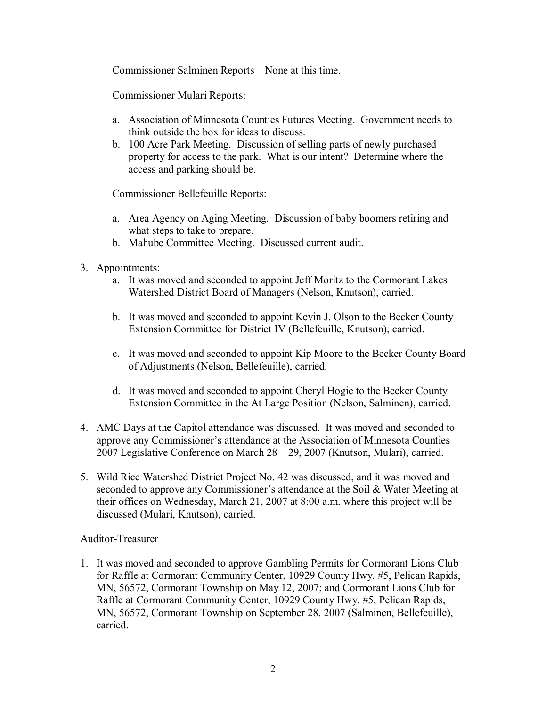Commissioner Salminen Reports – None at this time.

Commissioner Mulari Reports:

- a. Association of Minnesota Counties Futures Meeting. Government needs to think outside the box for ideas to discuss.
- b. 100 Acre Park Meeting. Discussion of selling parts of newly purchased property for access to the park. What is our intent? Determine where the access and parking should be.

Commissioner Bellefeuille Reports:

- a. Area Agency on Aging Meeting. Discussion of baby boomers retiring and what steps to take to prepare.
- b. Mahube Committee Meeting. Discussed current audit.
- 3. Appointments:
	- a. It was moved and seconded to appoint Jeff Moritz to the Cormorant Lakes Watershed District Board of Managers (Nelson, Knutson), carried.
	- b. It was moved and seconded to appoint Kevin J. Olson to the Becker County Extension Committee for District IV (Bellefeuille, Knutson), carried.
	- c. It was moved and seconded to appoint Kip Moore to the Becker County Board of Adjustments (Nelson, Bellefeuille), carried.
	- d. It was moved and seconded to appoint Cheryl Hogie to the Becker County Extension Committee in the At Large Position (Nelson, Salminen), carried.
- 4. AMC Days at the Capitol attendance was discussed. It was moved and seconded to approve any Commissioner's attendance at the Association of Minnesota Counties 2007 Legislative Conference on March 28 – 29, 2007 (Knutson, Mulari), carried.
- 5. Wild Rice Watershed District Project No. 42 was discussed, and it was moved and seconded to approve any Commissioner's attendance at the Soil & Water Meeting at their offices on Wednesday, March 21, 2007 at 8:00 a.m. where this project will be discussed (Mulari, Knutson), carried.

# Auditor-Treasurer

1. It was moved and seconded to approve Gambling Permits for Cormorant Lions Club for Raffle at Cormorant Community Center, 10929 County Hwy. #5, Pelican Rapids, MN, 56572, Cormorant Township on May 12, 2007; and Cormorant Lions Club for Raffle at Cormorant Community Center, 10929 County Hwy. #5, Pelican Rapids, MN, 56572, Cormorant Township on September 28, 2007 (Salminen, Bellefeuille), carried.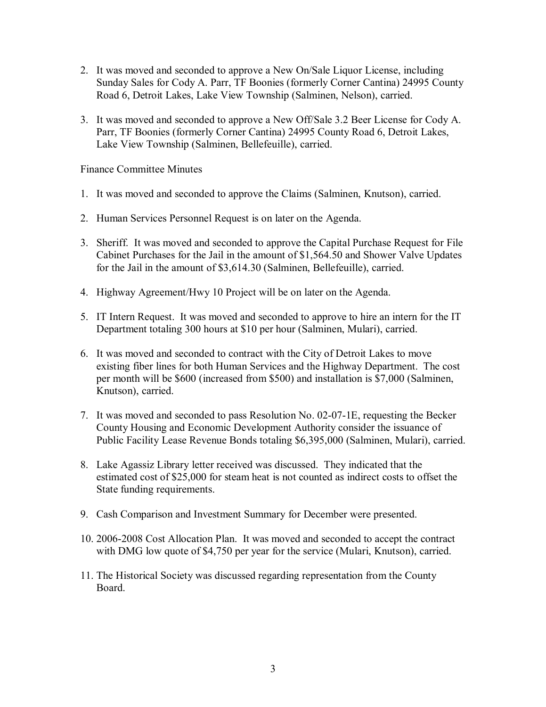- 2. It was moved and seconded to approve a New On/Sale Liquor License, including Sunday Sales for Cody A. Parr, TF Boonies (formerly Corner Cantina) 24995 County Road 6, Detroit Lakes, Lake View Township (Salminen, Nelson), carried.
- 3. It was moved and seconded to approve a New Off/Sale 3.2 Beer License for Cody A. Parr, TF Boonies (formerly Corner Cantina) 24995 County Road 6, Detroit Lakes, Lake View Township (Salminen, Bellefeuille), carried.

Finance Committee Minutes

- 1. It was moved and seconded to approve the Claims (Salminen, Knutson), carried.
- 2. Human Services Personnel Request is on later on the Agenda.
- 3. Sheriff. It was moved and seconded to approve the Capital Purchase Request for File Cabinet Purchases for the Jail in the amount of \$1,564.50 and Shower Valve Updates for the Jail in the amount of \$3,614.30 (Salminen, Bellefeuille), carried.
- 4. Highway Agreement/Hwy 10 Project will be on later on the Agenda.
- 5. IT Intern Request. It was moved and seconded to approve to hire an intern for the IT Department totaling 300 hours at \$10 per hour (Salminen, Mulari), carried.
- 6. It was moved and seconded to contract with the City of Detroit Lakes to move existing fiber lines for both Human Services and the Highway Department. The cost per month will be \$600 (increased from \$500) and installation is \$7,000 (Salminen, Knutson), carried.
- 7. It was moved and seconded to pass Resolution No.  $02-07-1E$ , requesting the Becker County Housing and Economic Development Authority consider the issuance of Public Facility Lease Revenue Bonds totaling \$6,395,000 (Salminen, Mulari), carried.
- 8. Lake Agassiz Library letter received was discussed. They indicated that the estimated cost of \$25,000 for steam heat is not counted as indirect costs to offset the State funding requirements.
- 9. Cash Comparison and Investment Summary for December were presented.
- 10. 20062008 Cost Allocation Plan. It was moved and seconded to accept the contract with DMG low quote of \$4,750 per year for the service (Mulari, Knutson), carried.
- 11. The Historical Society was discussed regarding representation from the County Board.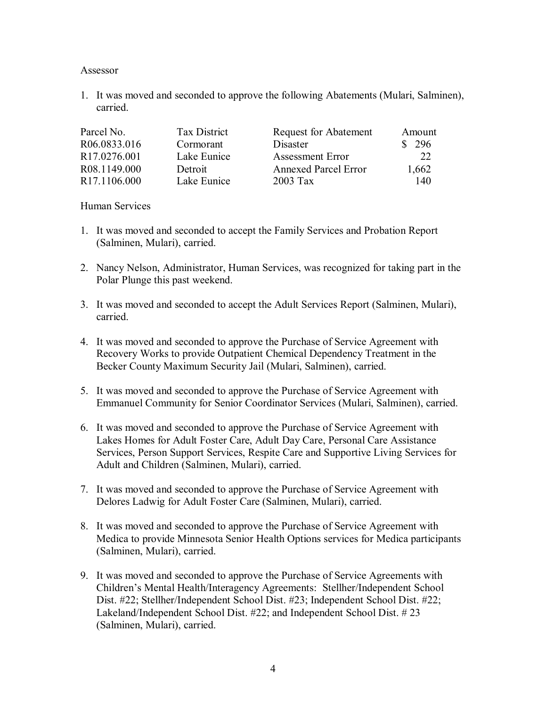#### Assessor

1. It was moved and seconded to approve the following Abatements (Mulari, Salminen), carried.

| Parcel No.               | Tax District | <b>Request for Abatement</b> | Amount |
|--------------------------|--------------|------------------------------|--------|
| R06.0833.016             | Cormorant    | Disaster                     | 296    |
| R <sub>17.0276.001</sub> | Lake Eunice  | <b>Assessment Error</b>      | 22     |
| R08.1149.000             | Detroit      | <b>Annexed Parcel Error</b>  | 1,662  |
| R <sub>17.1106.000</sub> | Lake Eunice  | $2003$ Tax                   | 140    |

#### Human Services

- 1. It was moved and seconded to accept the Family Services and Probation Report (Salminen, Mulari), carried.
- 2. Nancy Nelson, Administrator, Human Services, was recognized for taking part in the Polar Plunge this past weekend.
- 3. It was moved and seconded to accept the Adult Services Report (Salminen, Mulari), carried.
- 4. It was moved and seconded to approve the Purchase of Service Agreement with Recovery Works to provide Outpatient Chemical Dependency Treatment in the Becker County Maximum Security Jail (Mulari, Salminen), carried.
- 5. It was moved and seconded to approve the Purchase of Service Agreement with Emmanuel Community for Senior Coordinator Services (Mulari, Salminen), carried.
- 6. It was moved and seconded to approve the Purchase of Service Agreement with Lakes Homes for Adult Foster Care, Adult Day Care, Personal Care Assistance Services, Person Support Services, Respite Care and Supportive Living Services for Adult and Children (Salminen, Mulari), carried.
- 7. It was moved and seconded to approve the Purchase of Service Agreement with Delores Ladwig for Adult Foster Care (Salminen, Mulari), carried.
- 8. It was moved and seconded to approve the Purchase of Service Agreement with Medica to provide Minnesota Senior Health Options services for Medica participants (Salminen, Mulari), carried.
- 9. It was moved and seconded to approve the Purchase of Service Agreements with Children's Mental Health/Interagency Agreements: Stellher/Independent School Dist. #22; Stellher/Independent School Dist. #23; Independent School Dist. #22; Lakeland/Independent School Dist. #22; and Independent School Dist. # 23 (Salminen, Mulari), carried.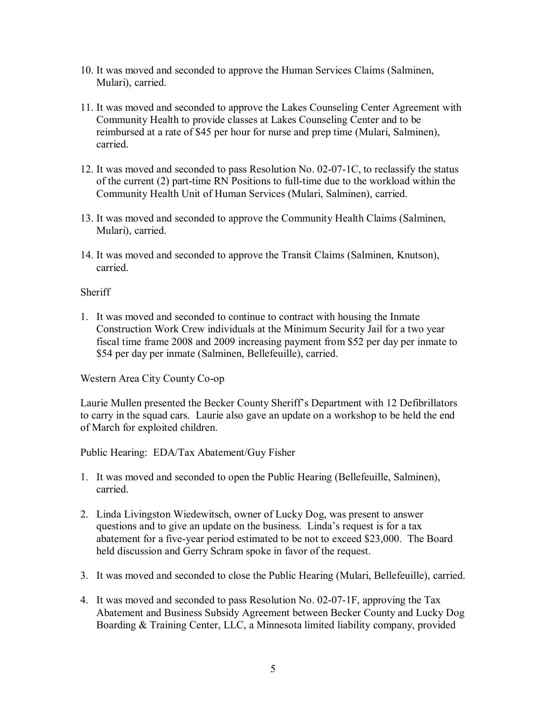- 10. It was moved and seconded to approve the Human Services Claims (Salminen, Mulari), carried.
- 11. It was moved and seconded to approve the Lakes Counseling Center Agreement with Community Health to provide classes at Lakes Counseling Center and to be reimbursed at a rate of \$45 per hour for nurse and prep time (Mulari, Salminen), carried.
- 12. It was moved and seconded to pass Resolution No.  $02-07-1C$ , to reclassify the status of the current  $(2)$  part-time RN Positions to full-time due to the workload within the Community Health Unit of Human Services (Mulari, Salminen), carried.
- 13. It was moved and seconded to approve the Community Health Claims (Salminen, Mulari), carried.
- 14. It was moved and seconded to approve the Transit Claims (Salminen, Knutson), carried.

# Sheriff

1. It was moved and seconded to continue to contract with housing the Inmate Construction Work Crew individuals at the Minimum Security Jail for a two year fiscal time frame 2008 and 2009 increasing payment from \$52 per day per inmate to \$54 per day per inmate (Salminen, Bellefeuille), carried.

Western Area City County Co-op

Laurie Mullen presented the Becker County Sheriff's Department with 12 Defibrillators to carry in the squad cars. Laurie also gave an update on a workshop to be held the end of March for exploited children.

Public Hearing: EDA/Tax Abatement/Guy Fisher

- 1. It was moved and seconded to open the Public Hearing (Bellefeuille, Salminen), carried.
- 2. Linda Livingston Wiedewitsch, owner of Lucky Dog, was present to answer questions and to give an update on the business. Linda's request is for a tax abatement for a five-year period estimated to be not to exceed \$23,000. The Board held discussion and Gerry Schram spoke in favor of the request.
- 3. It was moved and seconded to close the Public Hearing (Mulari, Bellefeuille), carried.
- 4. It was moved and seconded to pass Resolution No. 02-07-1F, approving the Tax Abatement and Business Subsidy Agreement between Becker County and Lucky Dog Boarding & Training Center, LLC, a Minnesota limited liability company, provided